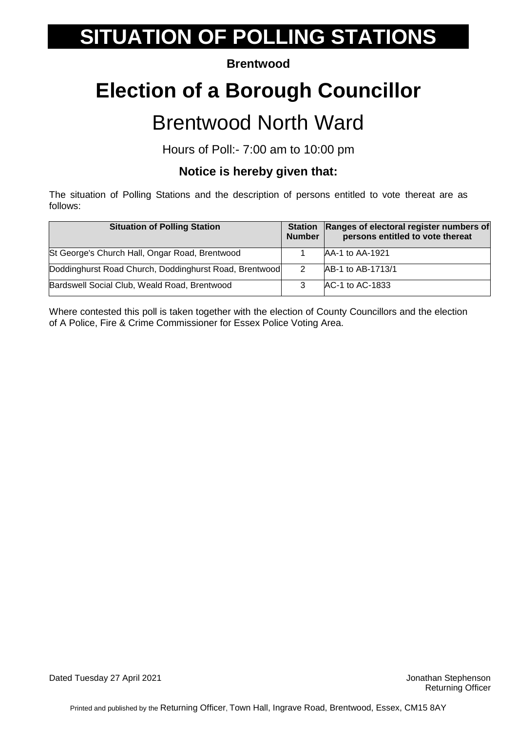#### **Brentwood**

# **Election of a Borough Councillor**

### Brentwood North Ward

Hours of Poll:- 7:00 am to 10:00 pm

### **Notice is hereby given that:**

The situation of Polling Stations and the description of persons entitled to vote thereat are as follows:

| <b>Situation of Polling Station</b>                    | <b>Station</b><br><b>Number</b> | Ranges of electoral register numbers of<br>persons entitled to vote thereat |
|--------------------------------------------------------|---------------------------------|-----------------------------------------------------------------------------|
| St George's Church Hall, Ongar Road, Brentwood         |                                 | AA-1 to AA-1921                                                             |
| Doddinghurst Road Church, Doddinghurst Road, Brentwood |                                 | AB-1 to AB-1713/1                                                           |
| Bardswell Social Club, Weald Road, Brentwood           |                                 | AC-1 to AC-1833                                                             |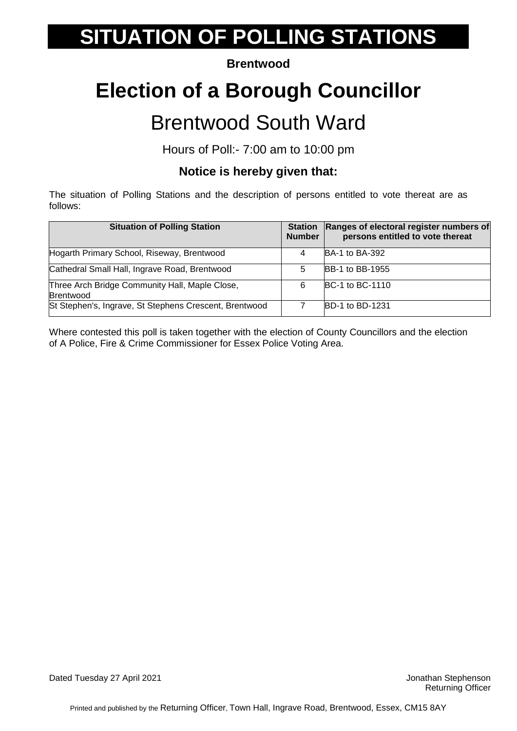#### **Brentwood**

# **Election of a Borough Councillor**

### Brentwood South Ward

Hours of Poll:- 7:00 am to 10:00 pm

### **Notice is hereby given that:**

The situation of Polling Stations and the description of persons entitled to vote thereat are as follows:

| <b>Situation of Polling Station</b>                                | <b>Station</b><br><b>Number</b> | Ranges of electoral register numbers of<br>persons entitled to vote thereat |
|--------------------------------------------------------------------|---------------------------------|-----------------------------------------------------------------------------|
| Hogarth Primary School, Riseway, Brentwood                         | 4                               | <b>BA-1 to BA-392</b>                                                       |
| Cathedral Small Hall, Ingrave Road, Brentwood                      | 5                               | <b>BB-1 to BB-1955</b>                                                      |
| Three Arch Bridge Community Hall, Maple Close,<br><b>Brentwood</b> | 6                               | <b>BC-1 to BC-1110</b>                                                      |
| St Stephen's, Ingrave, St Stephens Crescent, Brentwood             |                                 | <b>BD-1 to BD-1231</b>                                                      |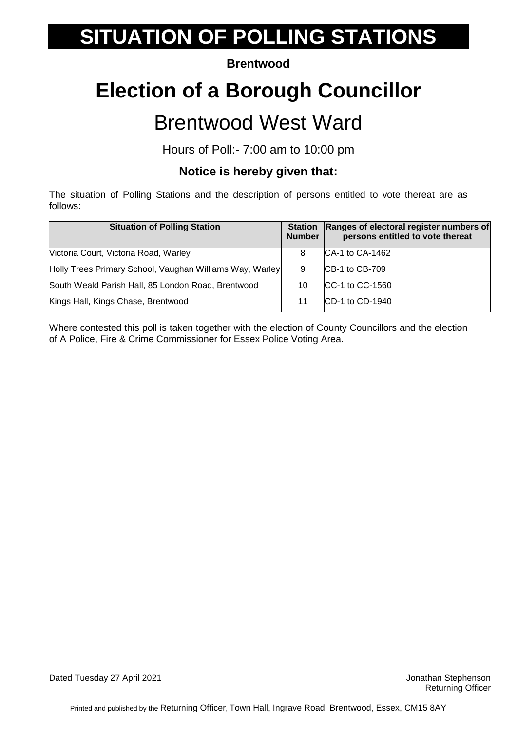#### **Brentwood**

## **Election of a Borough Councillor**

### Brentwood West Ward

Hours of Poll:- 7:00 am to 10:00 pm

### **Notice is hereby given that:**

The situation of Polling Stations and the description of persons entitled to vote thereat are as follows:

| <b>Situation of Polling Station</b>                      | <b>Station</b><br><b>Number</b> | Ranges of electoral register numbers of<br>persons entitled to vote thereat |
|----------------------------------------------------------|---------------------------------|-----------------------------------------------------------------------------|
| Victoria Court, Victoria Road, Warley                    | 8                               | CA-1 to CA-1462                                                             |
| Holly Trees Primary School, Vaughan Williams Way, Warley | 9                               | <b>CB-1 to CB-709</b>                                                       |
| South Weald Parish Hall, 85 London Road, Brentwood       | 10                              | CC-1 to CC-1560                                                             |
| Kings Hall, Kings Chase, Brentwood                       | 11                              | CD-1 to CD-1940                                                             |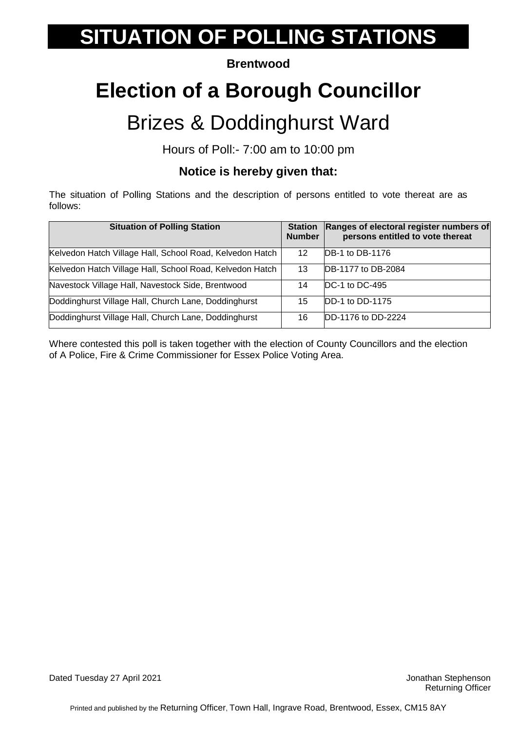#### **Brentwood**

# **Election of a Borough Councillor**

### Brizes & Doddinghurst Ward

Hours of Poll:- 7:00 am to 10:00 pm

### **Notice is hereby given that:**

The situation of Polling Stations and the description of persons entitled to vote thereat are as follows:

| <b>Situation of Polling Station</b>                      | <b>Station</b><br><b>Number</b> | Ranges of electoral register numbers of<br>persons entitled to vote thereat |
|----------------------------------------------------------|---------------------------------|-----------------------------------------------------------------------------|
| Kelvedon Hatch Village Hall, School Road, Kelvedon Hatch | 12                              | DB-1 to DB-1176                                                             |
| Kelvedon Hatch Village Hall, School Road, Kelvedon Hatch | 13                              | DB-1177 to DB-2084                                                          |
| Navestock Village Hall, Navestock Side, Brentwood        | 14                              | DC-1 to DC-495                                                              |
| Doddinghurst Village Hall, Church Lane, Doddinghurst     | 15                              | DD-1 to DD-1175                                                             |
| Doddinghurst Village Hall, Church Lane, Doddinghurst     | 16                              | DD-1176 to DD-2224                                                          |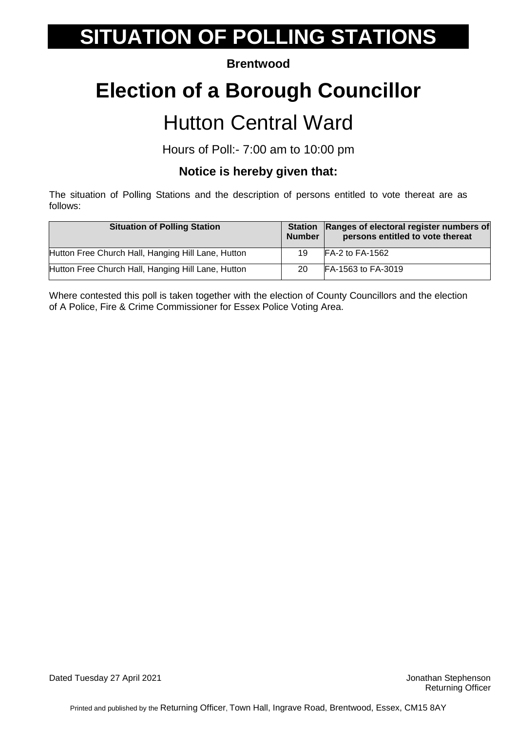#### **Brentwood**

### **Election of a Borough Councillor**

### Hutton Central Ward

Hours of Poll:- 7:00 am to 10:00 pm

### **Notice is hereby given that:**

The situation of Polling Stations and the description of persons entitled to vote thereat are as follows:

| <b>Situation of Polling Station</b>                | <b>Station</b><br><b>Number</b> | Ranges of electoral register numbers of<br>persons entitled to vote thereat |
|----------------------------------------------------|---------------------------------|-----------------------------------------------------------------------------|
| Hutton Free Church Hall, Hanging Hill Lane, Hutton | 19                              | $FA-2$ to $FA-1562$                                                         |
| Hutton Free Church Hall, Hanging Hill Lane, Hutton | 20                              | FA-1563 to FA-3019                                                          |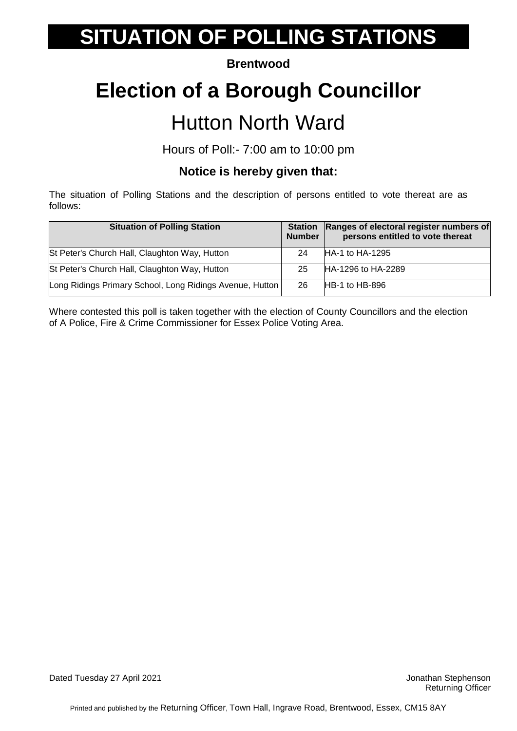#### **Brentwood**

### **Election of a Borough Councillor**

### Hutton North Ward

Hours of Poll:- 7:00 am to 10:00 pm

### **Notice is hereby given that:**

The situation of Polling Stations and the description of persons entitled to vote thereat are as follows:

| <b>Situation of Polling Station</b>                      | <b>Station</b><br><b>Number</b> | Ranges of electoral register numbers of<br>persons entitled to vote thereat |
|----------------------------------------------------------|---------------------------------|-----------------------------------------------------------------------------|
| St Peter's Church Hall, Claughton Way, Hutton            | 24                              | HA-1 to HA-1295                                                             |
| St Peter's Church Hall, Claughton Way, Hutton            | 25                              | HA-1296 to HA-2289                                                          |
| Long Ridings Primary School, Long Ridings Avenue, Hutton | -26                             | $HB-1$ to $HB-896$                                                          |

Where contested this poll is taken together with the election of County Councillors and the election of A Police, Fire & Crime Commissioner for Essex Police Voting Area.

Dated Tuesday 27 April 2021 **Dated Tuesday 27 April 2021 Jonathan Stephenson**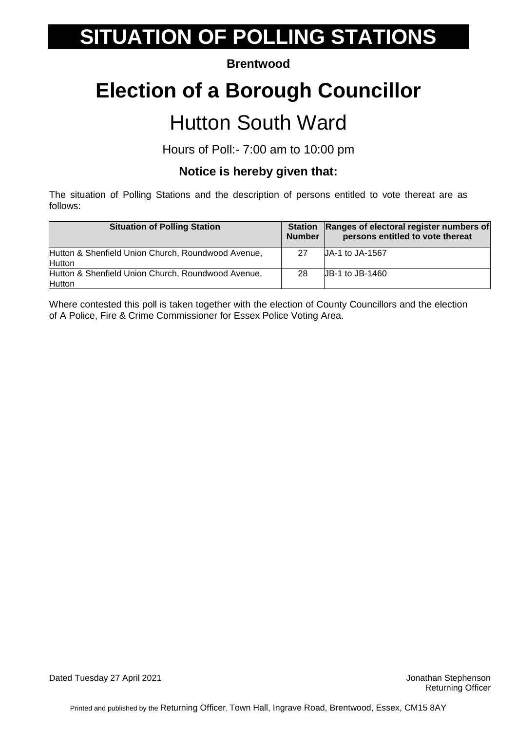#### **Brentwood**

### **Election of a Borough Councillor**

### Hutton South Ward

Hours of Poll:- 7:00 am to 10:00 pm

### **Notice is hereby given that:**

The situation of Polling Stations and the description of persons entitled to vote thereat are as follows:

| <b>Situation of Polling Station</b>                                 | <b>Station</b><br><b>Number</b> | <b>Ranges of electoral register numbers of</b><br>persons entitled to vote thereat |
|---------------------------------------------------------------------|---------------------------------|------------------------------------------------------------------------------------|
| Hutton & Shenfield Union Church, Roundwood Avenue,<br><b>Hutton</b> | 27                              | UA-1 to JA-1567                                                                    |
|                                                                     |                                 |                                                                                    |
| Hutton & Shenfield Union Church, Roundwood Avenue,                  | -28                             | UB-1 to JB-1460                                                                    |
| <b>Hutton</b>                                                       |                                 |                                                                                    |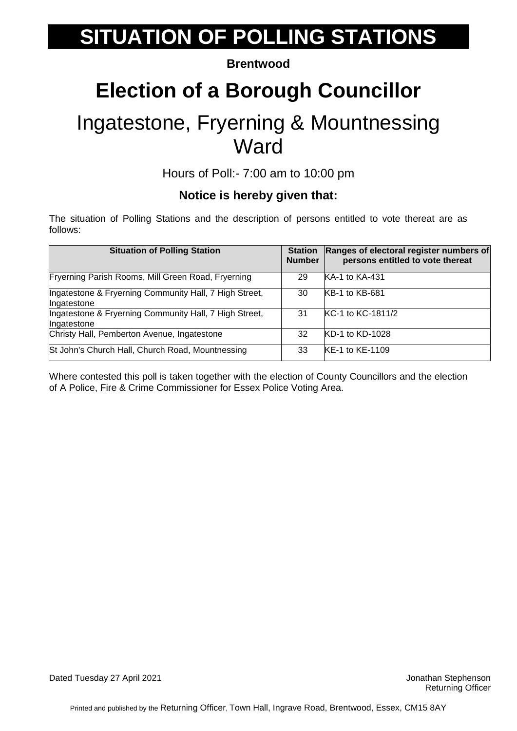#### **Brentwood**

### **Election of a Borough Councillor**

### Ingatestone, Fryerning & Mountnessing **Ward**

Hours of Poll:- 7:00 am to 10:00 pm

#### **Notice is hereby given that:**

The situation of Polling Stations and the description of persons entitled to vote thereat are as follows:

| <b>Situation of Polling Station</b>                                   | <b>Station</b><br><b>Number</b> | Ranges of electoral register numbers of<br>persons entitled to vote thereat |
|-----------------------------------------------------------------------|---------------------------------|-----------------------------------------------------------------------------|
| Fryerning Parish Rooms, Mill Green Road, Fryerning                    | 29                              | <b>KA-1 to KA-431</b>                                                       |
| Ingatestone & Fryerning Community Hall, 7 High Street,<br>Ingatestone | 30                              | <b>KB-1 to KB-681</b>                                                       |
| Ingatestone & Fryerning Community Hall, 7 High Street,<br>Ingatestone | 31                              | KC-1 to KC-1811/2                                                           |
| Christy Hall, Pemberton Avenue, Ingatestone                           | 32                              | KD-1 to KD-1028                                                             |
| St John's Church Hall, Church Road, Mountnessing                      | 33                              | <b>KE-1 to KE-1109</b>                                                      |

Where contested this poll is taken together with the election of County Councillors and the election of A Police, Fire & Crime Commissioner for Essex Police Voting Area.

Dated Tuesday 27 April 2021 **Dated Tuesday 27 April 2021 Jonathan Stephenson**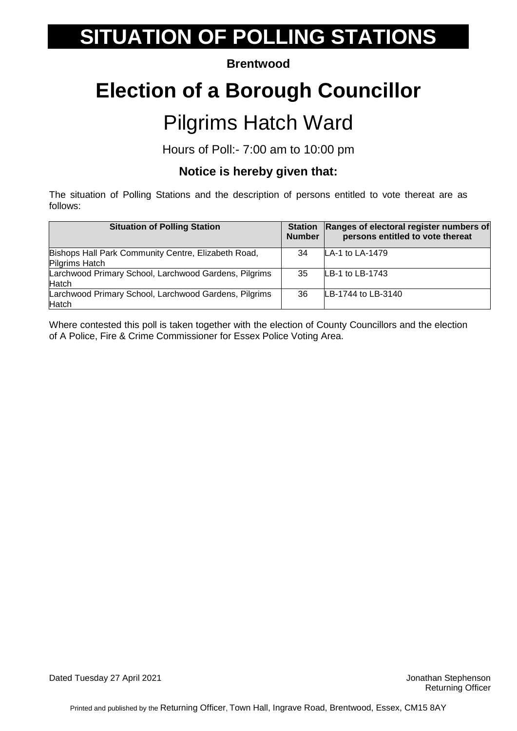#### **Brentwood**

### **Election of a Borough Councillor**

### Pilgrims Hatch Ward

Hours of Poll:- 7:00 am to 10:00 pm

### **Notice is hereby given that:**

The situation of Polling Stations and the description of persons entitled to vote thereat are as follows:

| <b>Situation of Polling Station</b>                                   | <b>Station</b><br><b>Number</b> | Ranges of electoral register numbers of<br>persons entitled to vote thereat |
|-----------------------------------------------------------------------|---------------------------------|-----------------------------------------------------------------------------|
| Bishops Hall Park Community Centre, Elizabeth Road,<br>Pilgrims Hatch | 34                              | LA-1 to LA-1479                                                             |
| Larchwood Primary School, Larchwood Gardens, Pilgrims<br>Hatch        | 35                              | LB-1 to LB-1743                                                             |
| Larchwood Primary School, Larchwood Gardens, Pilgrims<br>Hatch        | 36                              | LB-1744 to LB-3140                                                          |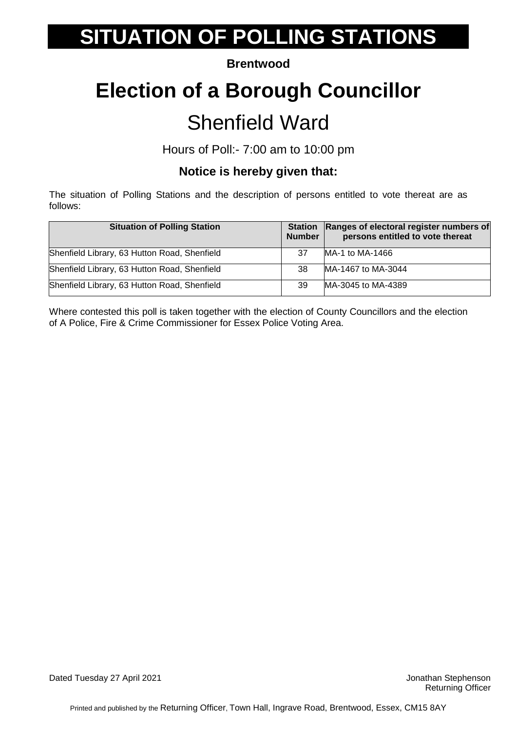#### **Brentwood**

# **Election of a Borough Councillor**

### Shenfield Ward

Hours of Poll:- 7:00 am to 10:00 pm

### **Notice is hereby given that:**

The situation of Polling Stations and the description of persons entitled to vote thereat are as follows:

| <b>Situation of Polling Station</b>          | <b>Station</b><br><b>Number</b> | Ranges of electoral register numbers of<br>persons entitled to vote thereat |
|----------------------------------------------|---------------------------------|-----------------------------------------------------------------------------|
| Shenfield Library, 63 Hutton Road, Shenfield | 37                              | MA-1 to MA-1466                                                             |
| Shenfield Library, 63 Hutton Road, Shenfield | 38                              | MA-1467 to MA-3044                                                          |
| Shenfield Library, 63 Hutton Road, Shenfield | 39                              | MA-3045 to MA-4389                                                          |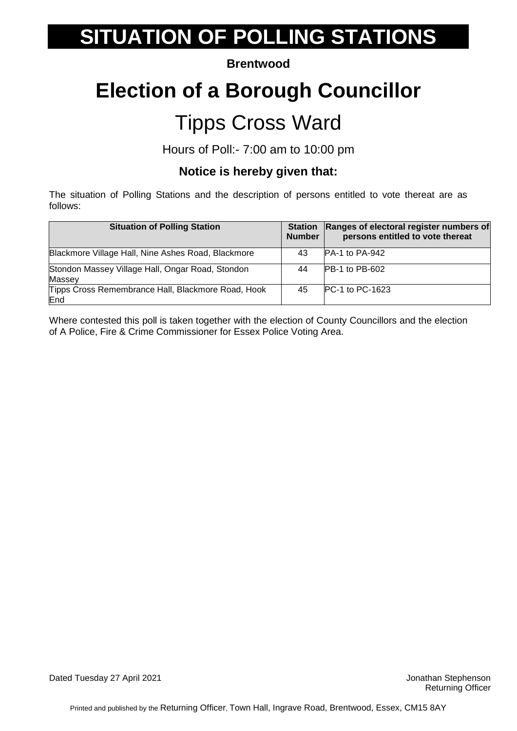#### **Brentwood**

### **Election of a Borough Councillor**

### Tipps Cross Ward

Hours of Poll:- 7:00 am to 10:00 pm

#### **Notice is hereby given that:**

The situation of Polling Stations and the description of persons entitled to vote thereat are as follows:

| <b>Situation of Polling Station</b>                        | <b>Station</b><br><b>Number</b> | Ranges of electoral register numbers of<br>persons entitled to vote thereat |
|------------------------------------------------------------|---------------------------------|-----------------------------------------------------------------------------|
| Blackmore Village Hall, Nine Ashes Road, Blackmore         | 43                              | $PA-1$ to $PA-942$                                                          |
| Stondon Massey Village Hall, Ongar Road, Stondon<br>Massey | 44                              | <b>PB-1 to PB-602</b>                                                       |
| Tipps Cross Remembrance Hall, Blackmore Road, Hook<br>End  | 45                              | <b>PC-1 to PC-1623</b>                                                      |